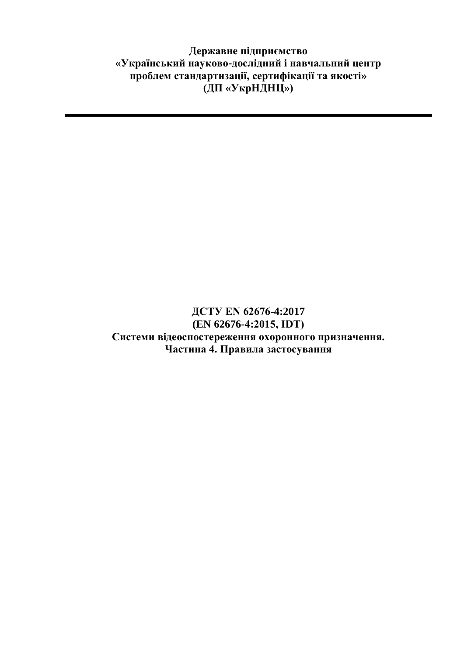**Державне підприємство «Український науково-дослідний і навчальний центр проблем стандартизації, сертифікації та якості» (ДП «УкрНДНЦ»)**

### **ДСТУ EN 62676-4:2017 (EN 62676-4:2015, IDТ) Системи відеоспостереження охоронного призначення. Частина 4. Правила застосування**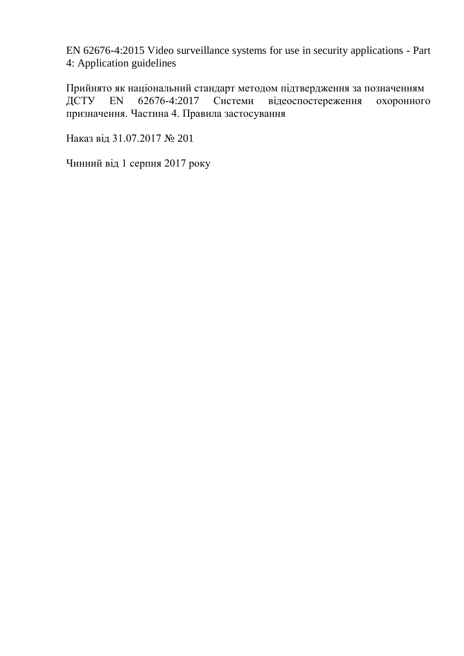EN 62676-4:2015 Video surveillance systems for use in security applications - Part 4: Application guidelines

Прийнято як національний стандарт методом підтвердження за позначенням ДСТУ EN 62676-4:2017 Системи відеоспостереження охоронного призначення. Частина 4. Правила застосування

Наказ від 31.07.2017 № 201

Чинний від 1 серпня 2017 року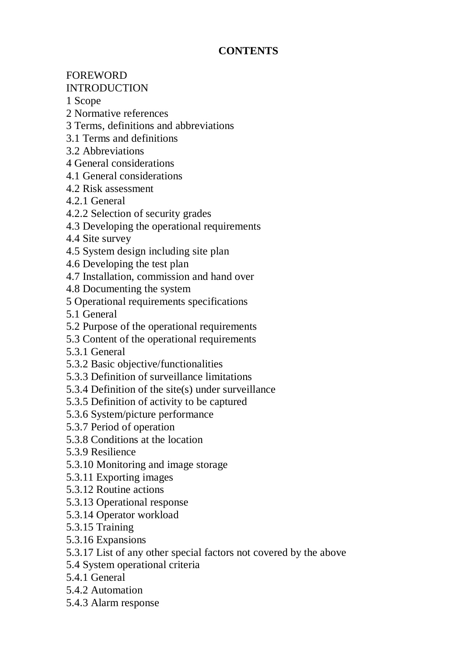## **CONTENTS**

# FOREWORD

## INTRODUCTION

1 Scope

- 2 Normative references
- 3 Terms, definitions and abbreviations
- 3.1 Terms and definitions
- 3.2 Abbreviations
- 4 General considerations
- 4.1 General considerations
- 4.2 Risk assessment
- 4.2.1 General
- 4.2.2 Selection of security grades
- 4.3 Developing the operational requirements
- 4.4 Site survey
- 4.5 System design including site plan
- 4.6 Developing the test plan
- 4.7 Installation, commission and hand over
- 4.8 Documenting the system
- 5 Operational requirements specifications
- 5.1 General
- 5.2 Purpose of the operational requirements
- 5.3 Content of the operational requirements
- 5.3.1 General
- 5.3.2 Basic objective/functionalities
- 5.3.3 Definition of surveillance limitations
- 5.3.4 Definition of the site(s) under surveillance
- 5.3.5 Definition of activity to be captured
- 5.3.6 System/picture performance
- 5.3.7 Period of operation
- 5.3.8 Conditions at the location
- 5.3.9 Resilience
- 5.3.10 Monitoring and image storage
- 5.3.11 Exporting images
- 5.3.12 Routine actions
- 5.3.13 Operational response
- 5.3.14 Operator workload
- 5.3.15 Training
- 5.3.16 Expansions
- 5.3.17 List of any other special factors not covered by the above
- 5.4 System operational criteria
- 5.4.1 General
- 5.4.2 Automation
- 5.4.3 Alarm response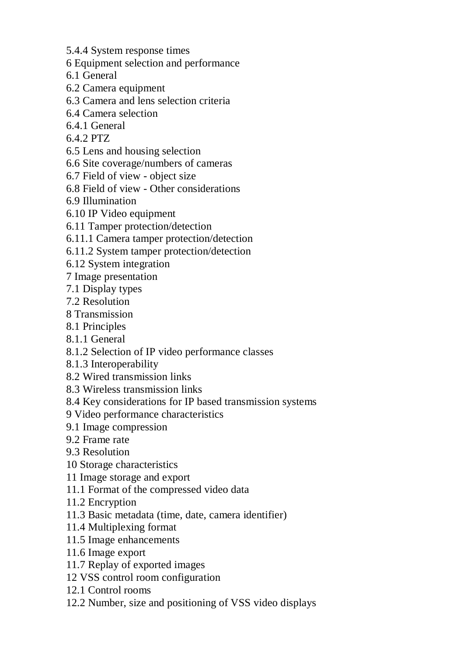5.4.4 System response times

- 6 Equipment selection and performance
- 6.1 General
- 6.2 Camera equipment
- 6.3 Camera and lens selection criteria
- 6.4 Camera selection
- 6.4.1 General
- 6.4.2 PTZ
- 6.5 Lens and housing selection
- 6.6 Site coverage/numbers of cameras
- 6.7 Field of view object size
- 6.8 Field of view Other considerations
- 6.9 Illumination
- 6.10 IP Video equipment
- 6.11 Tamper protection/detection
- 6.11.1 Camera tamper protection/detection
- 6.11.2 System tamper protection/detection
- 6.12 System integration
- 7 Image presentation
- 7.1 Display types
- 7.2 Resolution
- 8 Transmission
- 8.1 Principles
- 8.1.1 General
- 8.1.2 Selection of IP video performance classes
- 8.1.3 Interoperability
- 8.2 Wired transmission links
- 8.3 Wireless transmission links
- 8.4 Key considerations for IP based transmission systems
- 9 Video performance characteristics
- 9.1 Image compression
- 9.2 Frame rate
- 9.3 Resolution
- 10 Storage characteristics
- 11 Image storage and export
- 11.1 Format of the compressed video data
- 11.2 Encryption
- 11.3 Basic metadata (time, date, camera identifier)
- 11.4 Multiplexing format
- 11.5 Image enhancements
- 11.6 Image export
- 11.7 Replay of exported images
- 12 VSS control room configuration
- 12.1 Control rooms
- 12.2 Number, size and positioning of VSS video displays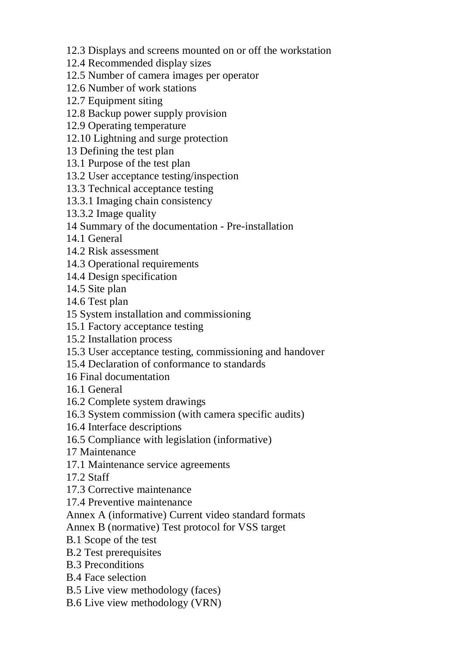12.3 Displays and screens mounted on or off the workstation

12.4 Recommended display sizes

12.5 Number of camera images per operator

12.6 Number of work stations

12.7 Equipment siting

12.8 Backup power supply provision

12.9 Operating temperature

12.10 Lightning and surge protection

13 Defining the test plan

13.1 Purpose of the test plan

13.2 User acceptance testing/inspection

13.3 Technical acceptance testing

13.3.1 Imaging chain consistency

13.3.2 Image quality

14 Summary of the documentation - Pre-installation

14.1 General

14.2 Risk assessment

14.3 Operational requirements

14.4 Design specification

14.5 Site plan

14.6 Test plan

15 System installation and commissioning

15.1 Factory acceptance testing

15.2 Installation process

15.3 User acceptance testing, commissioning and handover

15.4 Declaration of conformance to standards

16 Final documentation

16.1 General

16.2 Complete system drawings

16.3 System commission (with camera specific audits)

16.4 Interface descriptions

16.5 Compliance with legislation (informative)

17 Maintenance

17.1 Maintenance service agreements

17.2 Staff

17.3 Corrective maintenance

17.4 Preventive maintenance

Annex A (informative) Current video standard formats

Annex B (normative) Test protocol for VSS target

B.1 Scope of the test

B.2 Test prerequisites

B.3 Preconditions

B.4 Face selection

B.5 Live view methodology (faces)

B.6 Live view methodology (VRN)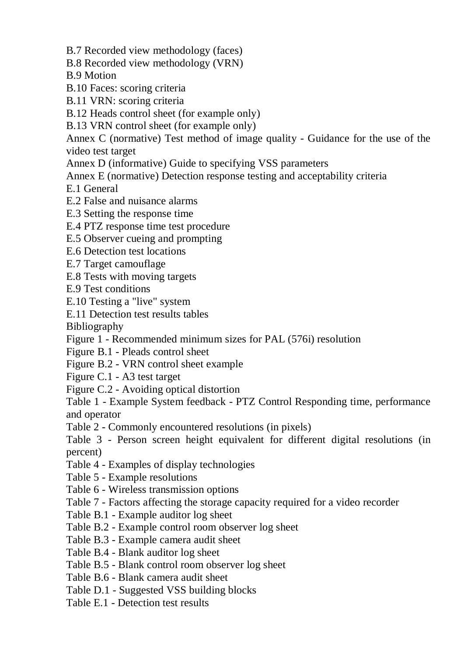B.7 Recorded view methodology (faces)

- B.8 Recorded view methodology (VRN)
- B.9 Motion
- B.10 Faces: scoring criteria
- B.11 VRN: scoring criteria
- B.12 Heads control sheet (for example only)
- B.13 VRN control sheet (for example only)

Annex C (normative) Test method of image quality - Guidance for the use of the video test target

- Annex D (informative) Guide to specifying VSS parameters
- Annex E (normative) Detection response testing and acceptability criteria
- E.1 General
- E.2 False and nuisance alarms
- E.3 Setting the response time
- E.4 PTZ response time test procedure
- E.5 Observer cueing and prompting
- E.6 Detection test locations
- E.7 Target camouflage
- E.8 Tests with moving targets
- E.9 Test conditions
- E.10 Testing a "live" system
- E.11 Detection test results tables

Bibliography

- Figure 1 Recommended minimum sizes for PAL (576i) resolution
- Figure B.1 Pleads control sheet
- Figure B.2 VRN control sheet example
- Figure C.1 A3 test target
- Figure C.2 Avoiding optical distortion
- Table 1 Example System feedback PTZ Control Responding time, performance and operator
- Table 2 Commonly encountered resolutions (in pixels)
- Table 3 Person screen height equivalent for different digital resolutions (in percent)
- Table 4 Examples of display technologies
- Table 5 Example resolutions
- Table 6 Wireless transmission options
- Table 7 Factors affecting the storage capacity required for a video recorder
- Table B.1 Example auditor log sheet
- Table B.2 Example control room observer log sheet
- Table B.3 Example camera audit sheet
- Table B.4 Blank auditor log sheet
- Table B.5 Blank control room observer log sheet
- Table B.6 Blank camera audit sheet
- Table D.1 Suggested VSS building blocks
- Table E.1 Detection test results